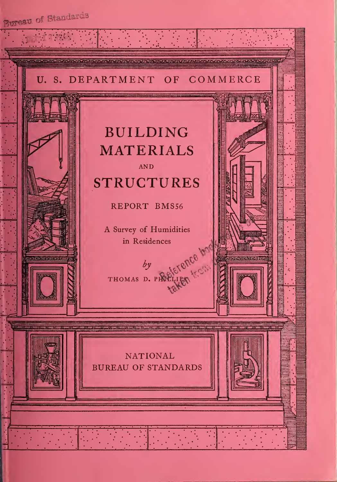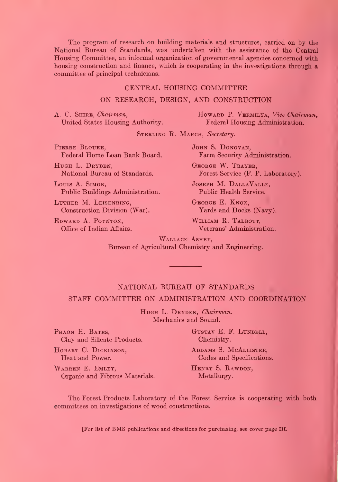The program of research on building materials and structures, carried on by the National Bureau of Standards, was imdertaken with the assistance of the Central Housing Committee, an informal organization of governmental agencies concerned with housing construction and finance, which is cooperating in the investigations through a committee of principal technicians.

#### CENTRAL HOUSING COMMITTEE

#### ON RESEARCH, DESIGN, AND CONSTRUCTION

A. C. SHIRE, Chairman, Howard P. VERMILYA, Vice Chairman, United States Housing Authority. Federal Housing Administration. Federal Housing Administration.

STERLING R. MARCH, Secretary.

PIERRE BLOUKE, JOHN S. DONOVAN,<br>Federal Home Loan Bank Board. Farm Security Ad

HUGH L. DRYDEN, GEORGE W. TRAYER,

LOUIS A. SIMON, JOSEPH M. DALLAVALLE, Public Buildings Administration. Public Health Service.

LUTHER M. LEISENRING, GEORGE E. KNOX,<br>
Construction Division (War). Yards and Docks (Navy). Construction Division (War).

EDWARD A. POYNTON, WILLIAM R. TALBOTT,<br>
Office of Indian Affairs. Veterans' Administra

Farm Security Administration.

National Bureau of Standards. Forest Service (F. P. Laboratory).

Veterans' Administration.

WALLACE ASHBY, Bureau of Agricultural Chemistry and Engineering.

## NATIONAL BUREAU OF STANDARDS

#### STAFF COMMITTEE ON ADMINISTRATION AND COORDINATION

HUGH L. DRYDEN, Chairman. Mechanics and Sound.

PHAON H. BATES, GUSTAV E. F. LUNDELL, Clay and Silicate Products. Chemistry.

WARREN E. EMLEY, HENRY S. RAWDON, Organic and Fibrous Materials. Metallurgy.

HOBART C. DICKINSON, ADDAMS S. MCALLISTER,<br>
Heat and Power. Codes and Specification Codes and Specifications.

The Forest Products Laboratory of the Forest Service is cooperating with both committees on investigations of wood constructions.

[For list of BMS publications and directions for purchasing, see cover page III.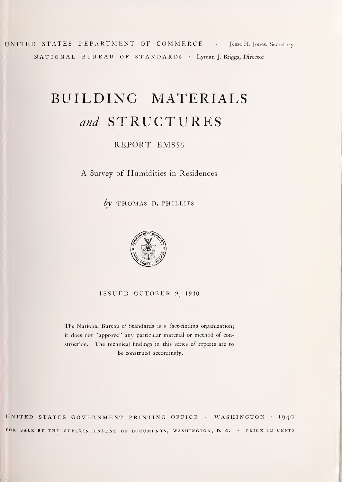UNITED STATES DEPARTMENT OF COMMERCE • Jesse H. Jones, Secretary NATIONAL BUREAU OF STANDARDS • Lyman J. Briggs, Director

# BUILDING MATERIALS and STRUCTURES

REPORT BMS56

A Survey of Humidities in Residences

 $by$  THOMAS D. PHILLIPS



ISSUED OCTOBER 9, <sup>1940</sup>

The National Bureau of Standards is <sup>a</sup> fact-finding organization; it does not "approve" any particular material or method of construction. The technical findings in this series of reports are to be construed accordingly.

UNITED STATES GOVERNMENT PRINTING OFFICE • WASHINGTON • I94O FOR SALE BY THE SUPERINTENDENT OF DOCUMENTS, WASHINGTON, D. C. . PRICE IO CENTS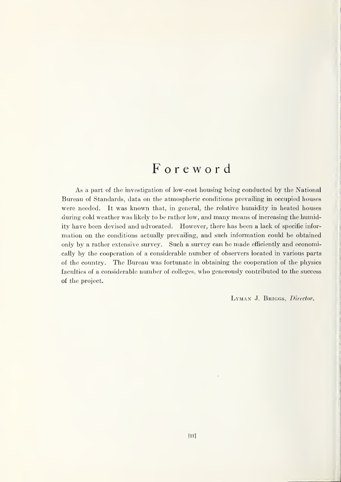# Foreword

As a part of the investigation of low-cost housing being conducted by the National Bureau of Standards, data on the atmospheric conditions prevailing in occupied houses were needed. It was known that, in general, the relative humidity in heated houses during cold weather was likely to be rather low, and many means of increasing the humidity have been devised and advocated. However, there has been a lack of specific information on the conditions actually prevailing, and such information could be obtained only by a rather extensive survey. Such a survey can be made efficiently and economically by the cooperation of a considerable number of observers located in various parts of the country. The Bureau was fortunate in obtaining the cooperation of the physics faculties of a considerable number of colleges, who generously contributed to the success of the project.

LYMAN J. BRIGGS, Director.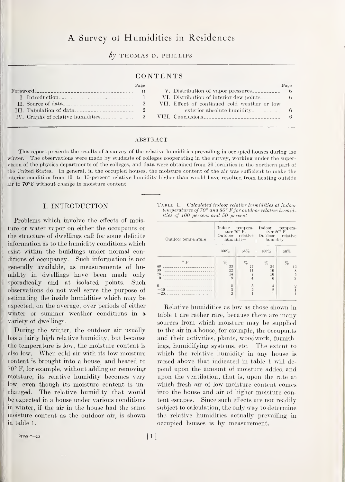# A Survey ot Humidities in Residences

by THOMAS D. PHILLIPS

#### CONTENTS

|                 | Page |                                              | Page |
|-----------------|------|----------------------------------------------|------|
| For <b>word</b> |      |                                              |      |
|                 |      |                                              |      |
|                 |      | VII. Effect of continued cold weather or low |      |
|                 |      | $\alpha$ exterior absolute humidity          |      |
|                 |      |                                              |      |

#### ABSTRACT

This report presents the results of a survey of the relative humidities prevailing in occupied houses during the winter. The observations were made by students of colleges cooperating in the survey, working under the supervision of the physics departments of the colleges, and data were obtained from 26 localities in the northern part of the United States. In general, in the occupied houses, the moisture content of the air was sufficient to make the interior condition from 10- to 15-percent relative humidity higher than would have resulted from heating outside air to 70°F without change in moisture content.

#### I. INTRODUCTION

Problems which involve the effects of moisture or water vapor on either the occupants or the structure of dwellings call for some definite information as to the humidity conditions which exist within the buildings under normal conditions of occupancy. Such information is not generally available, as measurements of humidity in dwellings have been made only sporadically and at isolated points. Such observations do not well serve the purpose of estimating the inside humidities which may be expected, on the average, over periods of either winter or summer weather conditions in a variety of dwellings.

During the winter, the outdoor air usually has a fairly high relative humidity, but because the temperature is low, the moisture content is also low. When cold air with its low moisture content is brought into a house, and heated to  $70^{\circ}$  F, for example, without adding or removing moisture, its relative humidity becomes very low, even though its moisture content is unchanged. The relative humidity that would be expected in a house under various conditions in winter, if the air in the house had the same moisture content as the outdoor air, is shown, in table 1.

TABLE 1.—Calculated indoor relative humidities at indoor<br>temperatures of 70° and 80° F for outdoor relative humidities cf 100 percent and 50 percent

| Outdoor temperature                                                                               | Indoor<br>Outdoor relative<br>humidity- | tempera-<br>ture $70^{\circ}$ F. | Indoor tempera-<br>ture $80^{\circ}$ F.<br>Outdoor relative<br>humidity- |                                        |  |
|---------------------------------------------------------------------------------------------------|-----------------------------------------|----------------------------------|--------------------------------------------------------------------------|----------------------------------------|--|
|                                                                                                   | $100\%$                                 | $56\%$                           | $100\%$                                                                  | 50%                                    |  |
| $\circ$ F<br>40<br>30<br>20<br>10                                                                 | $\%$<br>33<br>22<br>14<br>9             | $\%$                             | $\%$<br>24<br>16<br>10<br>$6\overline{6}$                                | $\%$<br>12<br>S<br>$\overline{5}$<br>3 |  |
| 0<br>the contract of the contract of the contract of the<br>$-10$<br>-------------------<br>$-20$ | $\overline{5}$<br>3<br>$\overline{2}$   | 3<br>$\overline{2}$              | $\overline{4}$<br>$\overline{2}$                                         |                                        |  |

Relative humidities as low as those showm in table <sup>1</sup> are rather rare, because there are many sources from which moisture may be supplied to the air in a house, for example, the occupants and their activities, plants, woodwork, furnishings, humidifying systems, etc. The extent to which the relative humidity in any house is raised above that indicated in table <sup>1</sup> will depend upon the amount of moisture added and upon the ventilation, that is, upon the rate at which fresh air of low moisture content comes into the house and air of higher moisture content escapes. Since such effects are not readih' subject to calculation, the only way to determine the relative humidities actually prevailing in occupied houses is by measurement.

 $247881^{\circ} - 40$  [1]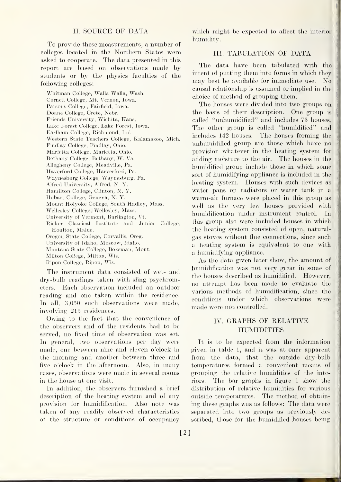#### II. SOURCE OF DATA

To provide these measurements, a number of colleges located in the Northern States were asked to cooperate. The data presented in this report are based on observations made by students or by the physics faculties of the following colleges:

Whitman College, Walla Walla, Wash. Cornell College, Mt. Vernon, Iowa. Parsons College, Fairfield, Iowa. Doane College, Crete, Nebr. Friends University, Wichita, Kans. Lake Forest College, Lake Forest, Iowa. Earlham College, Richmond, Ind. Western State Teachers College, Kalamazoo, Mich. Findlay College, Findlay, Ohio. Marietta College, Marietta, Ohio. Bethany College, Bethany, W. Va. Allegheny College, Meadville, Pa. Haverford College, Harverford, Pa. Waynesburg College, Waynesbiirg, Pa. Alfred University, Alfred, N. Y. Hamilton College, Clinton, N. Y. Hobart College, Geneva, N. Y. Mount Holyoke College, South Hadley, Mass. Wellesley College, Wellesley, Mass. University of Vermont, Burlington, Vt. Ricker Classical Institute and Junior College, Houlton, Maine. Oregon State College, Corvallis, Oreg. University of Idaho, Moscow, Idaho. Montana State College, Bozeman, Mont. Milton College, Milton, Wis. Ripon College, Ripon, Wis.

The instrument data consisted of wet- and dry-bulb readings taken with sling psychrometers. Each observation included an outdoor reading and one taken within the residence. In all, 3,050 such observations were made, involving 215 residences.

Owing to the fact that the convenience of the observers and of the residents had to be served, no fixed time of observation was set. In general, two observations per day were made, one between nine and eleven o'clock in the morning and another between three and five o'clock in the afternoon. Also, in many cases, observations were made in several rooms in the house at one visit.

In addition, the observers furnished a brief description of the heating system and of any provision for humidification. Also note was taken of any readily observed characteristics of the structure or conditions of occupancy

which might be expected to affect the interior humidity.

#### III. TABULATION OF DATA

The data have been tabulated with the intent of putting them into forms in which they may best be available for immediate use. No causal relationship is assumed or implied in the choice of method of grouping them.

The houses were divided into two groups on the basis of their description. One group is called "unhumidified" and includes 73 houses. The other group is called "humidified" and includes 142 houses. The houses forming the unhumidified group are those which have no provision whatever in the heating system for adding moisture to the air. The houses in the humidified group include those in which some sort of humidifying appliance is included in the heating system. Houses with such devices as water pans on radiators or water tank in a warm-air furnace were placed in this group as well as the very few houses provided with humidification under instrument control. In this group also were included houses in which the heating system consisted of open, naturalgas stoves without flue connections, since such a heating system is equivalent to one with a humidifying appliance.

As the data given later show, the amount of humidification was not very great in some of the houses described as humidified. However, no attempt has been made to evaluate the various methods of humidification, since the conditions imder which observations were made were not controlled.

#### IV. GRAPHS OF RELATIVE **HUMIDITIES**

It is to be expected from the information given in table 1, and it was at once apparent from the data, that the outside dry-bulb temperatures formed a convenient means of grouping the relative humidities of the interiors. The bar graphs in figure <sup>1</sup> show the distribution of relative humidities for various outside temperatures. The method of obtaining these graphs was as follows: The data were separated into two groups as previously described, those for the humidified houses being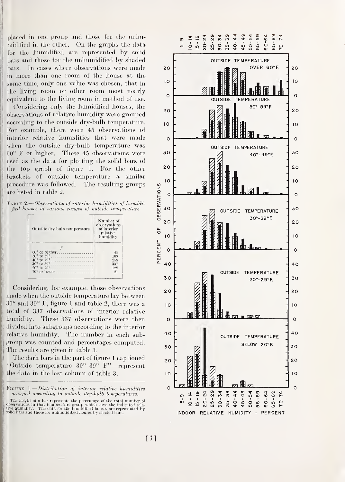placed in one group and those for the unhumidified in the other. On the graphs the data for the humidified are represented by solid bars and those for the unhumidified by shaded bars. In cases where observations were made in more than one room of the house at the same time, only one value was chosen, that in the living room or other room most nearly equivalent to the living room in method of use.

Considering only the humidified houses, the observations of relative humidity were grouped according to the outside dry-bulb temperature. For example, there were 45 observations of interior relative humidities that were made when the outside dry-bulb temperature was 60° F or higher. These 45 observations were used as the data for plotting the solid bars of the top graph of figure 1. For the other brackets of outside temperature a similar procedure was followed. The resulting groups are listed in table 2.

|  |  | TABLE 2.—Observations of interior humidities of humidi- |
|--|--|---------------------------------------------------------|
|  |  | fied houses at various ranges of outside temperature    |

| Outside dry-bulb temperature    | Number of<br>observations<br>of interior<br>relative<br>humidity |  |
|---------------------------------|------------------------------------------------------------------|--|
|                                 |                                                                  |  |
| $60^{\circ}$ or bigher $\ldots$ | 45                                                               |  |
| $50^{\circ}$ to $59^{\circ}$    | 109                                                              |  |
| $40^{\circ}$ to $49^{\circ}$    | 258                                                              |  |
| $30^{\circ}$ to $39^{\circ}$    | 337                                                              |  |
|                                 | 128                                                              |  |
| $19^{\circ}$ or lower           | 21                                                               |  |

Considering, for example, those observations made when the outside temperature lay between 30° and 39° F, figure <sup>1</sup> and table 2, there was a total of 337 observations of interior relative humidity. These 337 observations were then divided into subgroups according to the interior relative humidity. The number in each subgroup was counted and percentages computed. The results are given in table 3.

The dark bars in the part of figure <sup>1</sup> captioned "Outside temperature 30°-39° F"—represent the data in the last column of table 3.

FIGURE 1.— Distribution of interior relative humidities grouped according to outside dry-bulb temperatures.

The height of <sup>a</sup> bar represents the percentage of the total number of <sup>I</sup> observations in that temperature group which pave the indicated rela- ! five humidity. The data for the hum.idified houses are represented by solid bars and those for unhumidified houses by shaded bars.

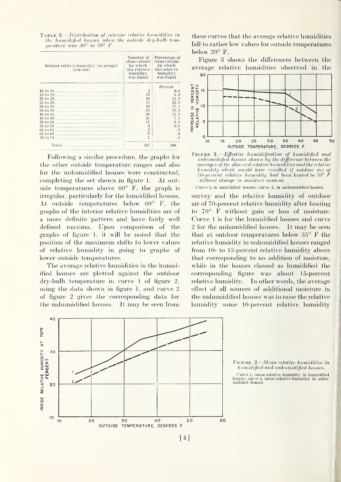Table 3. Distribution of interior relative humidities in the humidified houses when the outside dry-hulh temperature was 30° to 39° F

| Interior relative humidity (in groups)<br>(percent) | Number of<br>observations<br>for which<br>this relative<br>humidity<br>was found | Percentage of<br>observations<br>for which<br>this relative<br>humidity<br>was found |
|-----------------------------------------------------|----------------------------------------------------------------------------------|--------------------------------------------------------------------------------------|
|                                                     |                                                                                  | Percent                                                                              |
|                                                     | $\overline{2}$                                                                   | 0.6                                                                                  |
|                                                     | 10                                                                               | 3.0                                                                                  |
| 20 to 24                                            | 49                                                                               | 14.5                                                                                 |
| $25 \text{ to } 29$                                 | 73                                                                               | 21.6                                                                                 |
| $30 \text{ to } 34.$                                | 59                                                                               | 17.5                                                                                 |
| $35 \text{ to } 39$                                 | 65                                                                               | 19.3                                                                                 |
|                                                     | 38                                                                               | 11.3                                                                                 |
|                                                     | 25                                                                               | 7.4                                                                                  |
|                                                     | 11                                                                               | 3.3                                                                                  |
|                                                     | $\overline{2}$                                                                   | 0.6                                                                                  |
|                                                     | $\overline{2}$                                                                   | .6                                                                                   |
| 65 to 69                                            | $\Omega$                                                                         | $\Omega$                                                                             |
|                                                     |                                                                                  |                                                                                      |
| Total                                               | 337                                                                              | 100                                                                                  |

Following a similar procedure, the graphs for the other outside temperature ranges and also for the unhumidified houses were constructed, completing the set shown in figure 1. At outside temperatures above 60° F, the graph is irregular, particularly for the humidified houses. At outside temperatures below 60° F, the graphs of the interior relative humidities are of a more definite pattern and have fairly well defined maxima. Upon comparison of the graphs of figure 1, it will be noted that the position of the maximum shifts to lower values of relative humidity in going to graphs of lower outside temperatures.

The average relative humidities in the humidified houses are plotted against the outdoor dry-bulb temperature in curve <sup>1</sup> of figure 2, using the data shown in figure 1, and curve 2 of figure 2 gives the corresponding data for the unhumidified houses. It may be seen from

these curves that the average relative humidities fall to rather low values for outside temperatures below 20° F.

Figure 3 shows the differences between the average relative humidities observed in the



FIGURE 3.—*Effective humidification of humidified and* unhumidified. houses shown by the difference between the averages of the observed relative humidities and the relative humidity which would have resulted if outdoor air of 70-percent relative humidity had been heated to 70° F without change in moisture content.

Curve 1, in humidified houses; curve 2, in unhumidified houses.

survey and the relative humidity of outdoor air of 70-percent relative humidity after heating to 70° F without gain or loss of moisture. Curve <sup>1</sup> is for the humidified houses and curve <sup>2</sup> for the unhumidified houses. It may be seen that at outdoor temperatures below 35° F the relative humidity in unhumidified houses ranged from 10- to 13-percent relative humidity above that corresponding to no addition of moisture, while in the houses classed as humidified the corresponding figure was about 15-percent relative humidity. In other words, the average effect of all sources of additional moisture in the unhumidified houses was to raise the relative humidity some 10-percent relative humidity



FIGURE 2.-Mean relative humidities in humidified and unhumidified houses.

Curve 1, mean relative humidity in humidified houses; curve 2, mean relative humidity in unhumidited<br>midified houses.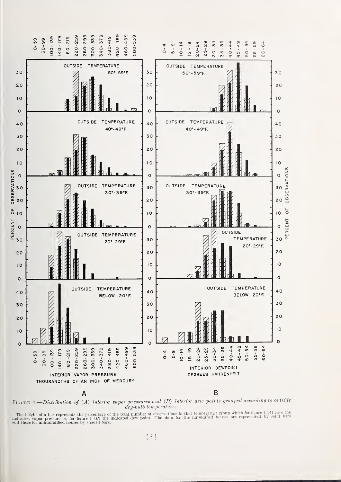

FIGURE 4.—Distribution of  $(A)$  interior vapor pressures and  $(B)$  interior dew points grouped according to outside  $\frac{dy}{dt}$  dry-bulb temperature.

The height of a bar represents the percentage of the total number of observations in that temperature group which for figure  $\{.\cdot\}$  gave the indicated vapor pressure or, for figure  $\{.\cdot\}$  (*b*) the indicated dew point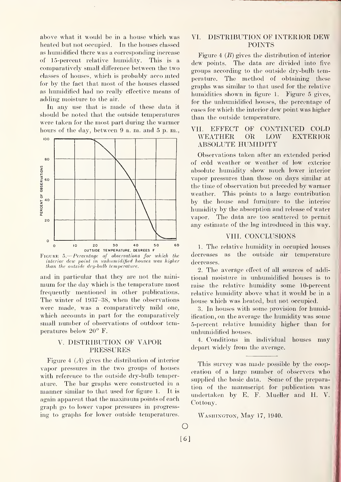above what it would be in a house which was VI. heated but not occupied. In the houses classed as humidified there was a corresponding increase of 15-percent relative humidity. This is a comparatively small difference between the two classes of houses, which is probably acco inted for by the fact that most of the houses classed as humidified had no really effective means of adding moisture to the air.

In any use that is made of these data it should be noted that the outside temperatures were taken for the most part during the warmer<br>hours of the day, between 9.3, m, and 5.p, m. VII. EFFECT hours of the day, between 9 a. m. and <sup>5</sup> p. m.,



Figure 5. Percentage of observations for which the interior dew point in unhumidijied houses was higher than the outside dry-bulb temperature.

and in particular that they are not the minimum for the day which is the temperature most frequently mentioned in other publications. The winter of 1937-38, when the observations were made, was a comparatively mild one, which accounts in part for the comparatively small number of observations of outdoor temperatures below 20° F.

#### V. DISTRIBUTION OF VAPOR PRESSURES

Figure 4  $(A)$  gives the distribution of interior vapor pressures in the two groups of houses with reference to the outside dry-bulb temperature. The bar graphs were constructed in a manner similar to that used for figure 1. It is again apparent that the maximum points of each graph go to lower vapor pressures in progressing to graphs for lower outside temperatures.

#### DISTRIBUTION OF INTERIOR DEW POINTS

Figure 4  $(B)$  gives the distribution of interior dew points. The data are divided into five groups according to the outside dry-bulb temperature. The method of obtaining these graphs was similar to that used for the relative humidities shown in figure 1. Figure 5 gives, for the unhumidificd houses, the percentage of cases for which the interior dew point was higher than the outside temperature.

#### OF CONTINUED COLD WEATHER OR LOW EXTERIOR ABSOLUTE HUMIDITY

Observations taken after an extended period of cold weather or weather of low exterior absolute humidity show much lower interior vapor pressures than those on days similar at the time of observation but preceded by warmer weather. This points to a large contribution by the house and furniture to the interior humidity by the absorption and release of water vapor. The data are too scattered to permit any estimate of the lag introduced in this way.

#### VIII. CONCLUSIONS

L The relative humidity in occupied houses decreases as the outside air temperature decreases.

2. The average effect of all sources of additional moisture in unhumidified houses is to raise the relative humidity some 10-percent relative humidity above what it would be in a house which was heated, but not occupied.

3. In houses with some provision for humidification, on the average the humidity was some 5-percent relative humidity higher than for unhumidified houses.

4. Conditions in individual houses may depart widely from the average.

This survey was made possible by the cooperation of a large number of observers who supplied the basic data. Some of the preparation of the manuscript for publication was undertaken by E. F. Mueller and H. V. Cottony.

WASHINGTON, May 17, 1940.

 $\bigcirc$ [6]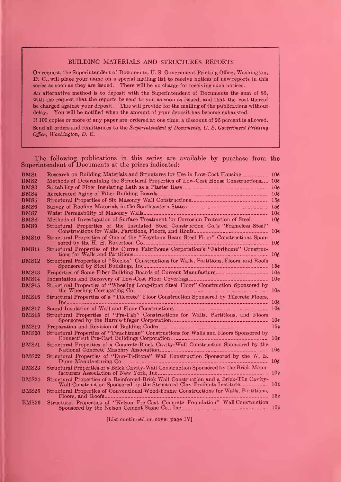#### BUILDING MATERIALS AND STRUCTURES REPORTS

On request, the Superintendent of Documents, U. S. Government Printing Office, Washington, D. C, will place your name on a special mailing list to receive notices of new reports in this series as soon as they are issued. There will be no charge for receiving such notices. An alternative method is to deposit with the Superintendent of Documents the sum of \$5,

with the request that the reports be sent to you as soon as issued, and that the cost thereof be charged against your deposit. This will provide for the mailing of the publications without delay. You will be notified when the amount of your deposit has become exhausted.

If 100 copies or more of any paper are ordered at one time, a discount of 25 percent is allowed. Send all orders and remittances to the Superintendent of Documents, U.S. Government Printing Office, Washington, D. C.

The following publications in this series are available by purchase from the Superintendent of Documents at the prices indicated:

| <b>BMS1</b>      | Research on Building Materials and Structures for Use in Low-Cost Housing_________ 10¢                                                                                   |                 |
|------------------|--------------------------------------------------------------------------------------------------------------------------------------------------------------------------|-----------------|
| BMS <sub>2</sub> | Methods of Determining the Structural Properties of Low-Cost House Constructions 10¢                                                                                     |                 |
| BMS3             |                                                                                                                                                                          |                 |
| BMS4             |                                                                                                                                                                          |                 |
| BMS <sub>5</sub> |                                                                                                                                                                          |                 |
| <b>BMS6</b>      | Survey of Roofing Materials in the Southeastern States___________________________ 15¢                                                                                    |                 |
| <b>BMS7</b>      |                                                                                                                                                                          |                 |
| BMS8             | Methods of Investigation of Surface Treatment for Corrosion Protection of Steel                                                                                          |                 |
| <b>BMS9</b>      | Structural Properties of the Insulated Steel Construction Co.'s "Frameless-Steel"                                                                                        |                 |
| <b>BMS10</b>     | Structural Properties of One of the "Keystone Beam Steel Floor" Constructions Sponsored by the H. H. Robertson Co.                                                       |                 |
| BMS11            | Structural Properties of the Curren Fabrihome Corporation's "Fabrihome" Construc-                                                                                        |                 |
| <b>BMS12</b>     | Structural Properties of "Steelox" Constructions for Walls, Partitions, Floors, and Roofs                                                                                |                 |
| BMS13            | Properties of Some Fiber Building Boards of Current Manufacture________________ 10¢                                                                                      |                 |
| <b>BMS14</b>     |                                                                                                                                                                          |                 |
| <b>BMS15</b>     | Structural Properties of "Wheeling Long-Span Steel Floor" Construction Sponsored by                                                                                      | 106             |
| <b>BMS16</b>     | Structural Properties of a "Tilecrete" Floor Construction Sponsored by Tilecrete Floors,                                                                                 | 10 <sub>0</sub> |
| <b>BMS17</b>     |                                                                                                                                                                          |                 |
| <b>BMS18</b>     | Structural Properties of "Pre-Fab" Constructions for Walls, Partitions, and Floors                                                                                       | 106             |
| <b>BMS19</b>     |                                                                                                                                                                          |                 |
| <b>BMS20</b>     | Structural Properties of "Twachtman" Constructions for Walls and Floors Sponsored by<br>Connecticut Pre-Cast Buildings Corporation                                       | 10 <sub>c</sub> |
| <b>BMS21</b>     | Structural Properties of a Concrete-Block Cavity-Wall Construction Sponsored by the                                                                                      |                 |
| <b>BMS22</b>     | Structural Properties of "Dun-Ti-Stone" Wall Construction Sponsored by the W. E.                                                                                         | 10 <sub>t</sub> |
| <b>BMS23</b>     | Structural Properties of a Brick Cavity-Wall Construction Sponsored by the Brick Manu-                                                                                   | 106             |
| <b>BMS24</b>     | Structural Properties of a Reinforced-Brick Wall Construction and a Brick-Tile Cavity-<br>Wall Construction Sponsored by the Structural Clay Products Institute          | 106             |
| <b>BMS25</b>     | Structural Properties of Conventional Wood-Frame Constructions for Walls, Partitions,<br>Floors, and Roofs                                                               | 156             |
| <b>BMS26</b>     | Structural Properties of "Nelson Pre-Cast Concrete Foundation" Wall Construction<br>Sponsored by the Nelson Cement Stone Co., Inc. _________________________________ 10¢ |                 |

[List continued on cover page IV]